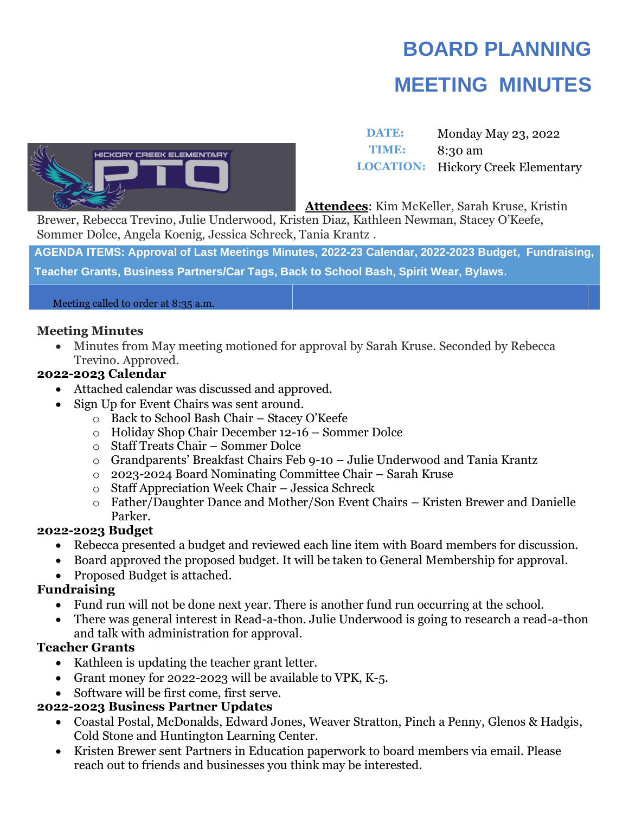# **BOARD PLANNING MEETING MINUTES**



**DATE:** Monday May 23, 2022 **TIME:** 8:30 am **LOCATION:** Hickory Creek Elementary

**Attendees**: Kim McKeller, Sarah Kruse, Kristin

Brewer, Rebecca Trevino, Julie Underwood, Kristen Diaz, Kathleen Newman, Stacey O'Keefe, Sommer Dolce, Angela Koenig, Jessica Schreck, Tania Krantz .

**AGENDA ITEMS: Approval of Last Meetings Minutes, 2022-23 Calendar, 2022-2023 Budget, Fundraising, Teacher Grants, Business Partners/Car Tags, Back to School Bash, Spirit Wear, Bylaws.**

#### Meeting called to order at 8:35 a.m.

### **Meeting Minutes**

• Minutes from May meeting motioned for approval by Sarah Kruse. Seconded by Rebecca Trevino. Approved.

## **2022-2023 Calendar**

- Attached calendar was discussed and approved.
- Sign Up for Event Chairs was sent around.
	- o Back to School Bash Chair Stacey O'Keefe
	- o Holiday Shop Chair December 12-16 Sommer Dolce
	- o Staff Treats Chair Sommer Dolce
	- o Grandparents' Breakfast Chairs Feb 9-10 Julie Underwood and Tania Krantz
	- o 2023-2024 Board Nominating Committee Chair Sarah Kruse
	- o Staff Appreciation Week Chair Jessica Schreck
	- o Father/Daughter Dance and Mother/Son Event Chairs Kristen Brewer and Danielle Parker.

## **2022-2023 Budget**

- Rebecca presented a budget and reviewed each line item with Board members for discussion.
- Board approved the proposed budget. It will be taken to General Membership for approval.
- Proposed Budget is attached.

## **Fundraising**

- Fund run will not be done next year. There is another fund run occurring at the school.
- There was general interest in Read-a-thon. Julie Underwood is going to research a read-a-thon and talk with administration for approval.

## **Teacher Grants**

- Kathleen is updating the teacher grant letter.
- Grant money for 2022-2023 will be available to VPK, K-5.
- Software will be first come, first serve.

# **2022-2023 Business Partner Updates**

- Coastal Postal, McDonalds, Edward Jones, Weaver Stratton, Pinch a Penny, Glenos & Hadgis, Cold Stone and Huntington Learning Center.
- Kristen Brewer sent Partners in Education paperwork to board members via email. Please reach out to friends and businesses you think may be interested.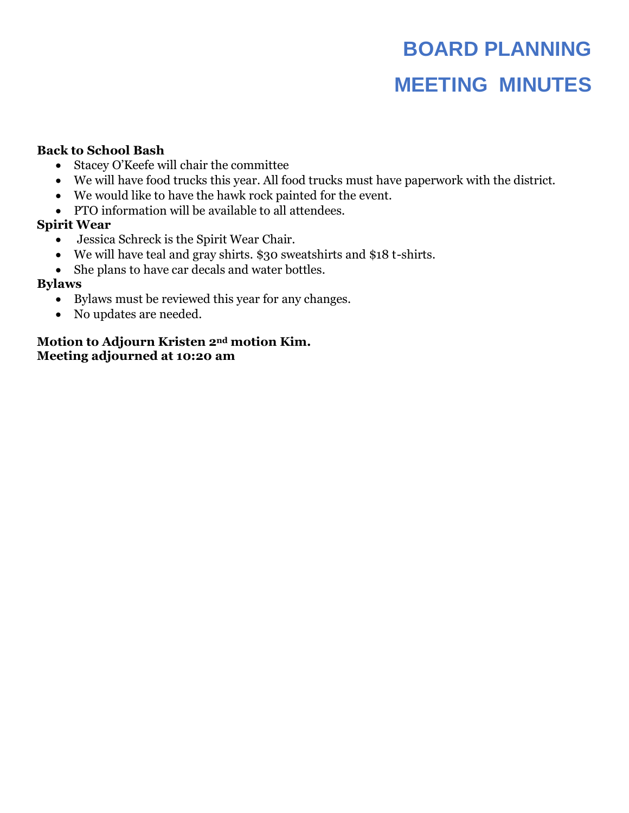# **BOARD PLANNING MEETING MINUTES**

### **Back to School Bash**

- Stacey O'Keefe will chair the committee
- We will have food trucks this year. All food trucks must have paperwork with the district.
- We would like to have the hawk rock painted for the event.
- PTO information will be available to all attendees.

### **Spirit Wear**

- Jessica Schreck is the Spirit Wear Chair.
- We will have teal and gray shirts. \$30 sweatshirts and \$18 t-shirts.
- She plans to have car decals and water bottles.

### **Bylaws**

- Bylaws must be reviewed this year for any changes.
- No updates are needed.

### **Motion to Adjourn Kristen 2nd motion Kim. Meeting adjourned at 10:20 am**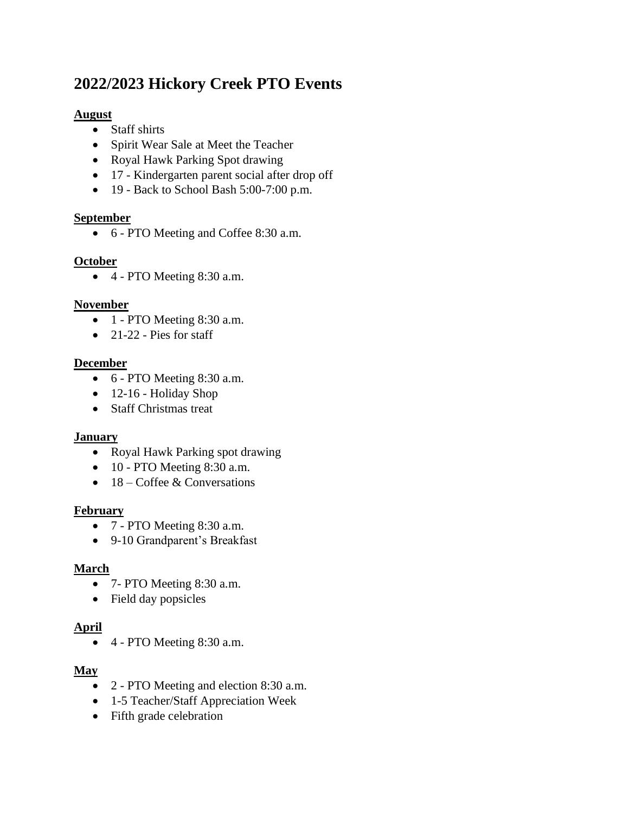# **2022/2023 Hickory Creek PTO Events**

### **August**

- Staff shirts
- Spirit Wear Sale at Meet the Teacher
- Royal Hawk Parking Spot drawing
- 17 Kindergarten parent social after drop off
- 19 Back to School Bash 5:00-7:00 p.m.

## **September**

• 6 - PTO Meeting and Coffee 8:30 a.m.

## **October**

• 4 - PTO Meeting 8:30 a.m.

### **November**

- $\overline{\bullet}$  1 PTO Meeting 8:30 a.m.
- $\bullet$  21-22 Pies for staff

## **December**

- 6 PTO Meeting 8:30 a.m.
- 12-16 Holiday Shop
- Staff Christmas treat

## **January**

- Royal Hawk Parking spot drawing
- $\bullet$  10 PTO Meeting 8:30 a.m.
- $18 \text{Coffee} \& \text{Conversions}$

### **February**

- 7 PTO Meeting 8:30 a.m.
- 9-10 Grandparent's Breakfast

## **March**

- 7- PTO Meeting 8:30 a.m.
- Field day popsicles

## **April**

• 4 - PTO Meeting 8:30 a.m.

## **May**

- 2 PTO Meeting and election 8:30 a.m.
- 1-5 Teacher/Staff Appreciation Week
- Fifth grade celebration